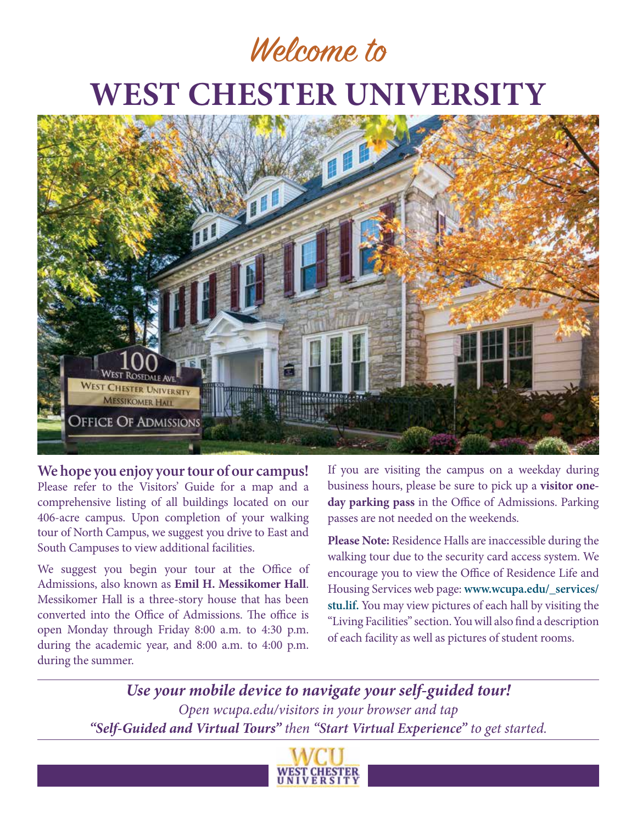# Welcome to **WEST CHESTER UNIVERSITY**



**We hope you enjoy your tour of our campus!**  Please refer to the Visitors' Guide for a map and a comprehensive listing of all buildings located on our 406-acre campus. Upon completion of your walking tour of North Campus, we suggest you drive to East and South Campuses to view additional facilities.

We suggest you begin your tour at the Office of Admissions, also known as **Emil H. Messikomer Hall**. Messikomer Hall is a three-story house that has been converted into the Office of Admissions. The office is open Monday through Friday 8:00 a.m. to 4:30 p.m. during the academic year, and 8:00 a.m. to 4:00 p.m. during the summer.

If you are visiting the campus on a weekday during business hours, please be sure to pick up a **visitor oneday parking pass** in the Office of Admissions. Parking passes are not needed on the weekends.

**Please Note:** Residence Halls are inaccessible during the walking tour due to the security card access system. We encourage you to view the Office of Residence Life and Housing Services web page: **www.wcupa.edu/\_services/ stu.lif.** You may view pictures of each hall by visiting the "Living Facilities" section. You will also find a description of each facility as well as pictures of student rooms.

*Use your mobile device to navigate your self-guided tour! Open wcupa.edu/visitors in your browser and tap "Self-Guided and Virtual Tours" then "Start Virtual Experience" to get started.* 

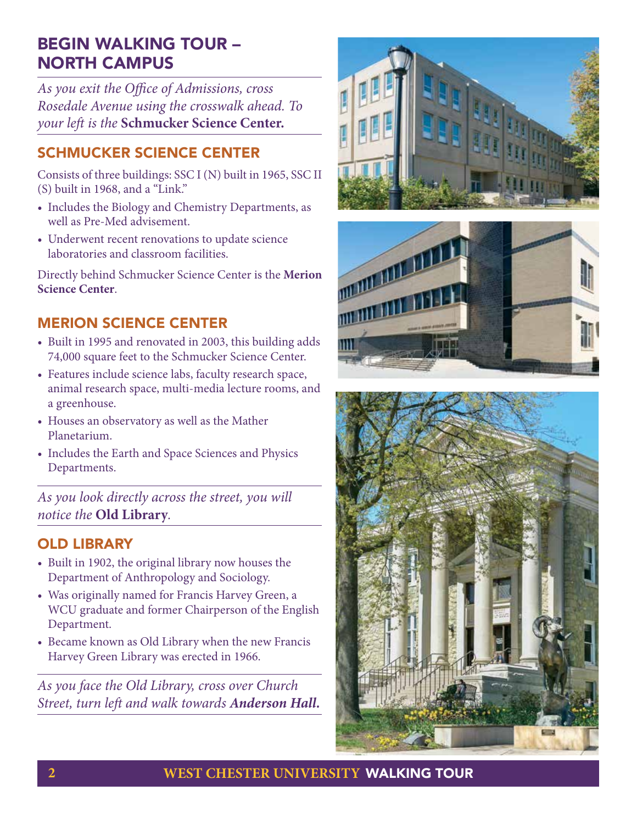## BEGIN WALKING TOUR – NORTH CAMPUS

*As you exit the Office of Admissions, cross Rosedale Avenue using the crosswalk ahead. To your left is the* **Schmucker Science Center.**

## SCHMUCKER SCIENCE CENTER

Consists of three buildings: SSC I (N) built in 1965, SSC II (S) built in 1968, and a "Link."

- Includes the Biology and Chemistry Departments, as well as Pre-Med advisement.
- Underwent recent renovations to update science laboratories and classroom facilities.

Directly behind Schmucker Science Center is the **Merion Science Center**.

### MERION SCIENCE CENTER

- Built in 1995 and renovated in 2003, this building adds 74,000 square feet to the Schmucker Science Center.
- Features include science labs, faculty research space, animal research space, multi-media lecture rooms, and a greenhouse.
- Houses an observatory as well as the Mather Planetarium.
- Includes the Earth and Space Sciences and Physics Departments.

*As you look directly across the street, you will notice the* **Old Library***.*

## OLD LIBRARY

- Built in 1902, the original library now houses the Department of Anthropology and Sociology.
- Was originally named for Francis Harvey Green, a WCU graduate and former Chairperson of the English Department.
- Became known as Old Library when the new Francis Harvey Green Library was erected in 1966.

*As you face the Old Library, cross over Church Street, turn left and walk towards Anderson Hall.*





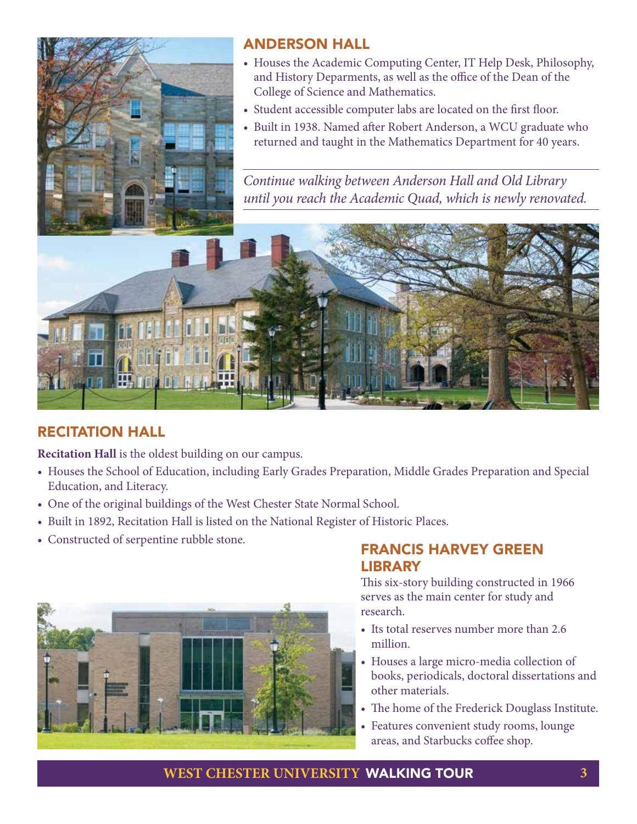

### ANDERSON HALL

- Houses the Academic Computing Center, IT Help Desk, Philosophy, and History Deparments, as well as the office of the Dean of the College of Science and Mathematics.
- Student accessible computer labs are located on the first floor.
- Built in 1938. Named after Robert Anderson, a WCU graduate who returned and taught in the Mathematics Department for 40 years.

*Continue walking between Anderson Hall and Old Library until you reach the Academic Quad, which is newly renovated.* 



#### RECITATION HALL

**Recitation Hall** is the oldest building on our campus.

- Houses the School of Education, including Early Grades Preparation, Middle Grades Preparation and Special Education, and Literacy.
- One of the original buildings of the West Chester State Normal School.
- Built in 1892, Recitation Hall is listed on the National Register of Historic Places.
- Constructed of serpentine rubble stone.



#### FRANCIS HARVEY GREEN LIBRARY

This six-story building constructed in 1966 serves as the main center for study and research.

- Its total reserves number more than 2.6 million.
- Houses a large micro-media collection of books, periodicals, doctoral dissertations and other materials.
- The home of the Frederick Douglass Institute.
- Features convenient study rooms, lounge areas, and Starbucks coffee shop.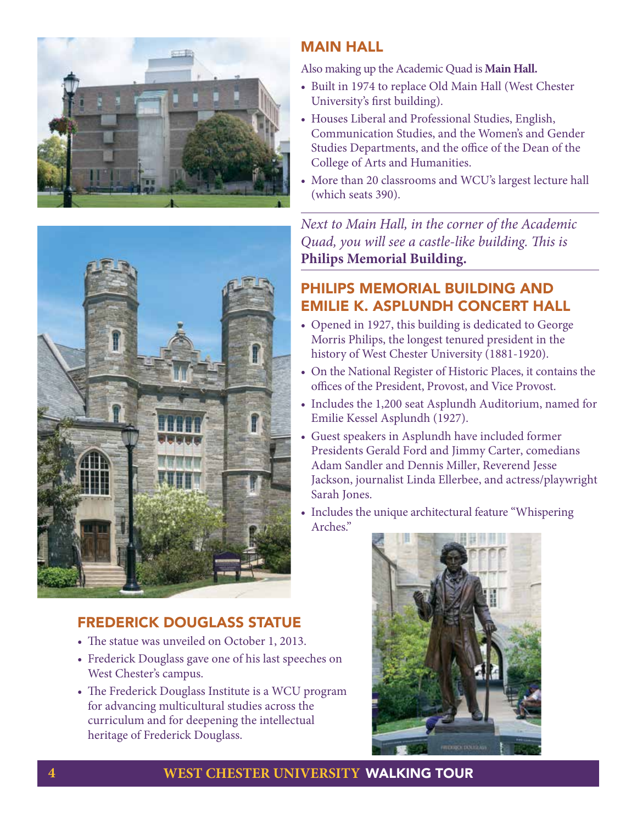



## FREDERICK DOUGLASS STATUE

- The statue was unveiled on October 1, 2013.
- Frederick Douglass gave one of his last speeches on West Chester's campus.
- The Frederick Douglass Institute is a WCU program for advancing multicultural studies across the curriculum and for deepening the intellectual heritage of Frederick Douglass.

## MAIN HALL

Also making up the Academic Quad is **Main Hall.**

- Built in 1974 to replace Old Main Hall (West Chester University's first building).
- Houses Liberal and Professional Studies, English, Communication Studies, and the Women's and Gender Studies Departments, and the office of the Dean of the College of Arts and Humanities.
- More than 20 classrooms and WCU's largest lecture hall (which seats 390).

*Next to Main Hall, in the corner of the Academic Quad, you will see a castle-like building. This is*  **Philips Memorial Building.**

## PHILIPS MEMORIAL BUILDING AND EMILIE K. ASPLUNDH CONCERT HALL

- Opened in 1927, this building is dedicated to George Morris Philips, the longest tenured president in the history of West Chester University (1881-1920).
- On the National Register of Historic Places, it contains the offices of the President, Provost, and Vice Provost.
- Includes the 1,200 seat Asplundh Auditorium, named for Emilie Kessel Asplundh (1927).
- Guest speakers in Asplundh have included former Presidents Gerald Ford and Jimmy Carter, comedians Adam Sandler and Dennis Miller, Reverend Jesse Jackson, journalist Linda Ellerbee, and actress/playwright Sarah Jones.
- Includes the unique architectural feature "Whispering Arches."

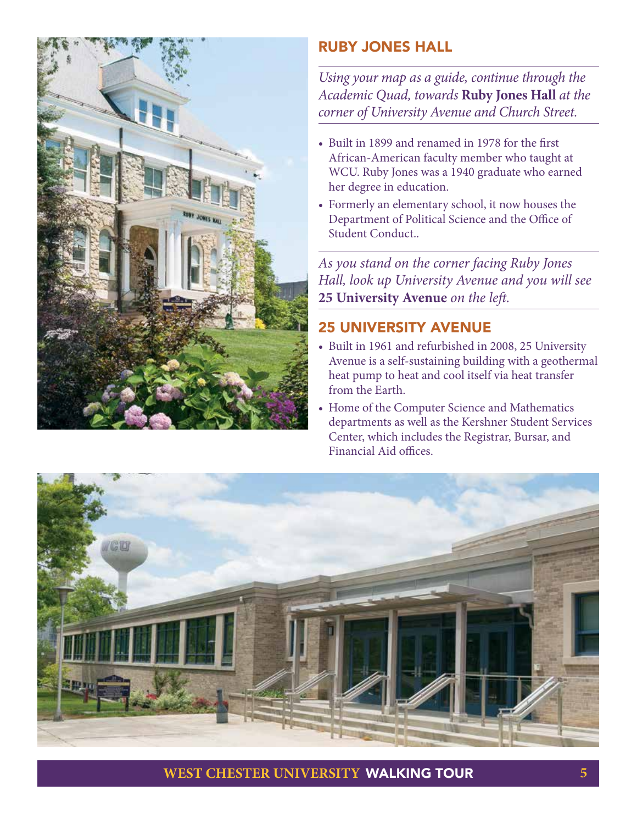

## RUBY JONES HALL

*Using your map as a guide, continue through the Academic Quad, towards* **Ruby Jones Hall** *at the corner of University Avenue and Church Street.*

- Built in 1899 and renamed in 1978 for the first African-American faculty member who taught at WCU. Ruby Jones was a 1940 graduate who earned her degree in education.
- Formerly an elementary school, it now houses the Department of Political Science and the Office of Student Conduct..

*As you stand on the corner facing Ruby Jones Hall, look up University Avenue and you will see*  **25 University Avenue** *on the left.*

## 25 UNIVERSITY AVENUE

- Built in 1961 and refurbished in 2008, 25 University Avenue is a self-sustaining building with a geothermal heat pump to heat and cool itself via heat transfer from the Earth.
- Home of the Computer Science and Mathematics departments as well as the Kershner Student Services Center, which includes the Registrar, Bursar, and Financial Aid offices.

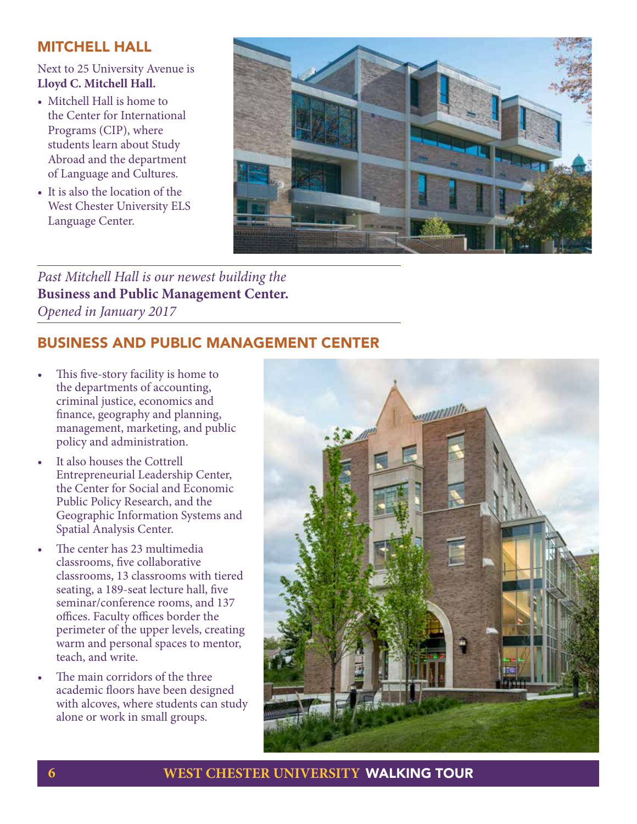## MITCHELL HALL

Next to 25 University Avenue is **Lloyd C. Mitchell Hall.**

- Mitchell Hall is home to the Center for International Programs (CIP), where students learn about Study Abroad and the department of Language and Cultures.
- It is also the location of the West Chester University ELS Language Center.



*Past Mitchell Hall is our newest building the* **Business and Public Management Center.** *Opened in January 2017*

## BUSINESS AND PUBLIC MANAGEMENT CENTER

- This five-story facility is home to the departments of accounting, criminal justice, economics and finance, geography and planning, management, marketing, and public policy and administration.
- It also houses the Cottrell Entrepreneurial Leadership Center, the Center for Social and Economic Public Policy Research, and the Geographic Information Systems and Spatial Analysis Center.
- The center has 23 multimedia classrooms, five collaborative classrooms, 13 classrooms with tiered seating, a 189-seat lecture hall, five seminar/conference rooms, and 137 offices. Faculty offices border the perimeter of the upper levels, creating warm and personal spaces to mentor, teach, and write.
- The main corridors of the three academic floors have been designed with alcoves, where students can study alone or work in small groups.

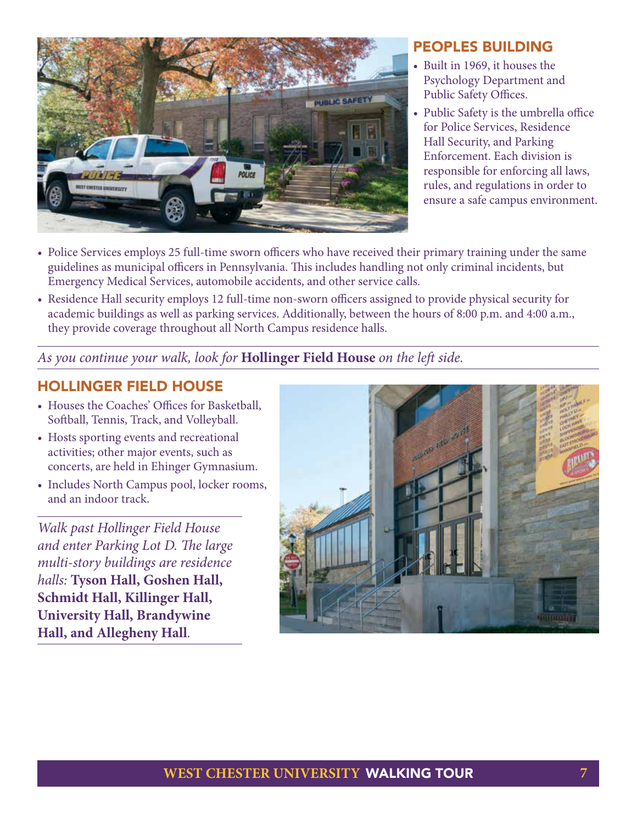

## PEOPLES BUILDING

- Built in 1969, it houses the Psychology Department and Public Safety Offices.
- Public Safety is the umbrella office for Police Services, Residence Hall Security, and Parking Enforcement. Each division is responsible for enforcing all laws, rules, and regulations in order to ensure a safe campus environment.
- Police Services employs 25 full-time sworn officers who have received their primary training under the same guidelines as municipal officers in Pennsylvania. This includes handling not only criminal incidents, but Emergency Medical Services, automobile accidents, and other service calls.
- Residence Hall security employs 12 full-time non-sworn officers assigned to provide physical security for academic buildings as well as parking services. Additionally, between the hours of 8:00 p.m. and 4:00 a.m., they provide coverage throughout all North Campus residence halls.

*As you continue your walk, look for* **Hollinger Field House** *on the left side.* 

### HOLLINGER FIELD HOUSE

- Houses the Coaches' Offices for Basketball, Softball, Tennis, Track, and Volleyball.
- Hosts sporting events and recreational activities; other major events, such as concerts, are held in Ehinger Gymnasium.
- Includes North Campus pool, locker rooms, and an indoor track.

*Walk past Hollinger Field House and enter Parking Lot D. The large multi-story buildings are residence halls:* **Tyson Hall, Goshen Hall, Schmidt Hall, Killinger Hall, University Hall, Brandywine Hall, and Allegheny Hall***.*

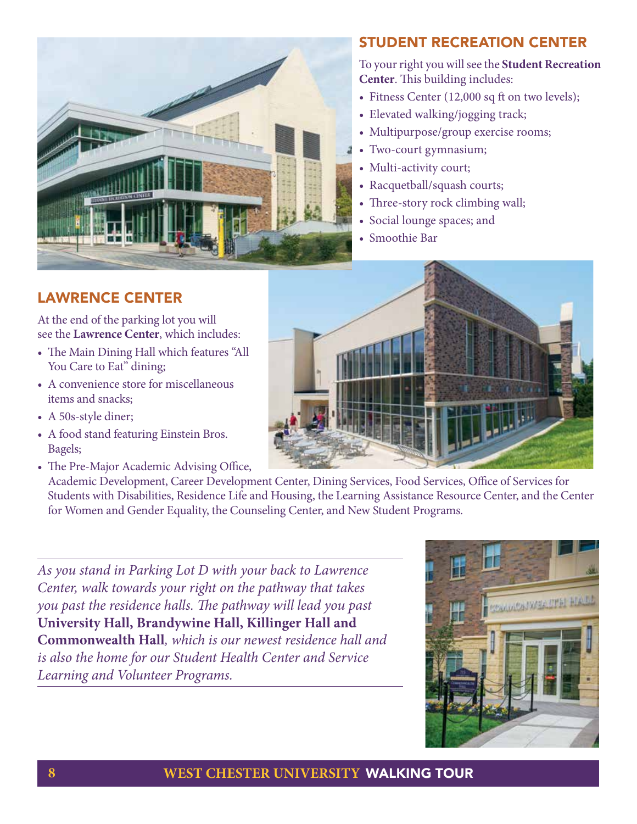

## STUDENT RECREATION CENTER

To your right you will see the **Student Recreation Center**. This building includes:

- Fitness Center (12,000 sq ft on two levels);
- Elevated walking/jogging track;
- Multipurpose/group exercise rooms;
- Two-court gymnasium;
- Multi-activity court;
- Racquetball/squash courts;
- Three-story rock climbing wall;
- Social lounge spaces; and
- Smoothie Bar

## LAWRENCE CENTER

At the end of the parking lot you will see the **Lawrence Center**, which includes:

- The Main Dining Hall which features "All You Care to Eat" dining;
- A convenience store for miscellaneous items and snacks;
- A 50s-style diner;
- A food stand featuring Einstein Bros. Bagels;
- The Pre-Major Academic Advising Office,



Academic Development, Career Development Center, Dining Services, Food Services, Office of Services for Students with Disabilities, Residence Life and Housing, the Learning Assistance Resource Center, and the Center for Women and Gender Equality, the Counseling Center, and New Student Programs.

*As you stand in Parking Lot D with your back to Lawrence Center, walk towards your right on the pathway that takes you past the residence halls. The pathway will lead you past*  **University Hall, Brandywine Hall, Killinger Hall and Commonwealth Hall***, which is our newest residence hall and is also the home for our Student Health Center and Service Learning and Volunteer Programs.*

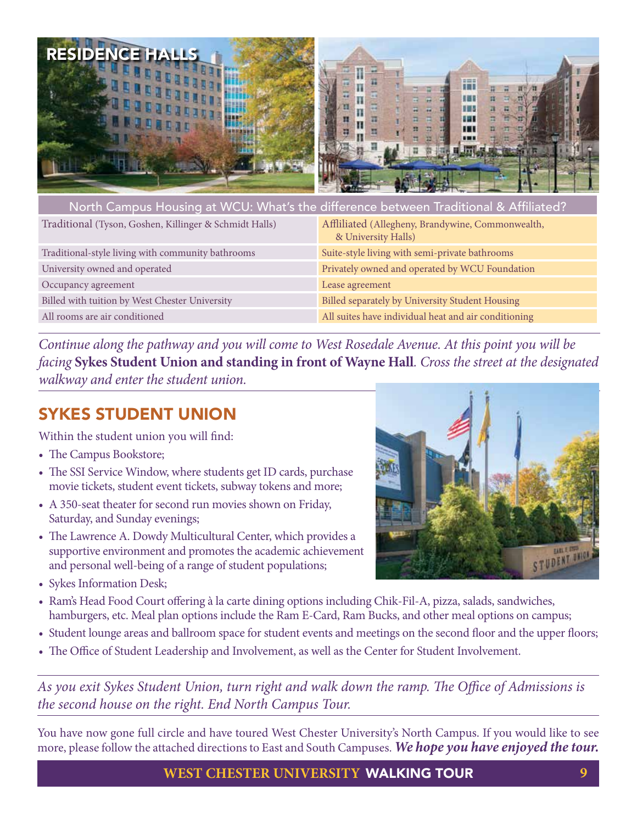

| North Campus Housing at WCU: What's the difference between Traditional & Affiliated? |                                                                          |
|--------------------------------------------------------------------------------------|--------------------------------------------------------------------------|
| Traditional (Tyson, Goshen, Killinger & Schmidt Halls)                               | Affliliated (Allegheny, Brandywine, Commonwealth,<br>& University Halls) |
| Traditional-style living with community bathrooms                                    | Suite-style living with semi-private bathrooms                           |
| University owned and operated                                                        | Privately owned and operated by WCU Foundation                           |
| Occupancy agreement                                                                  | Lease agreement                                                          |
| Billed with tuition by West Chester University                                       | Billed separately by University Student Housing                          |
| All rooms are air conditioned                                                        | All suites have individual heat and air conditioning                     |

*Continue along the pathway and you will come to West Rosedale Avenue. At this point you will be facing* **Sykes Student Union and standing in front of Wayne Hall***. Cross the street at the designated walkway and enter the student union.*

## SYKES STUDENT UNION

Within the student union you will find:

- The Campus Bookstore;
- The SSI Service Window, where students get ID cards, purchase movie tickets, student event tickets, subway tokens and more;
- A 350-seat theater for second run movies shown on Friday, Saturday, and Sunday evenings;
- The Lawrence A. Dowdy Multicultural Center, which provides a supportive environment and promotes the academic achievement and personal well-being of a range of student populations;
- Sykes Information Desk;
- Ram's Head Food Court offering à la carte dining options including Chik-Fil-A, pizza, salads, sandwiches, hamburgers, etc. Meal plan options include the Ram E-Card, Ram Bucks, and other meal options on campus;
- Student lounge areas and ballroom space for student events and meetings on the second floor and the upper floors;
- The Office of Student Leadership and Involvement, as well as the Center for Student Involvement.

*As you exit Sykes Student Union, turn right and walk down the ramp. The Office of Admissions is the second house on the right. End North Campus Tour.*

You have now gone full circle and have toured West Chester University's North Campus. If you would like to see more, please follow the attached directions to East and South Campuses. *We hope you have enjoyed the tour.* 

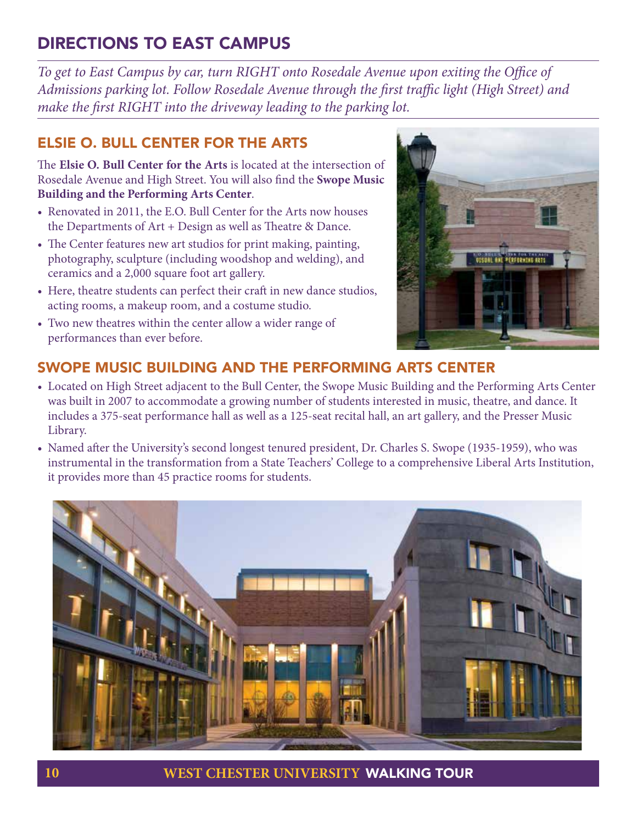# DIRECTIONS TO EAST CAMPUS

*To get to East Campus by car, turn RIGHT onto Rosedale Avenue upon exiting the Office of Admissions parking lot. Follow Rosedale Avenue through the first traffic light (High Street) and make the first RIGHT into the driveway leading to the parking lot.* 

## ELSIE O. BULL CENTER FOR THE ARTS

The **Elsie O. Bull Center for the Arts** is located at the intersection of Rosedale Avenue and High Street. You will also find the **Swope Music Building and the Performing Arts Center**.

- Renovated in 2011, the E.O. Bull Center for the Arts now houses the Departments of Art + Design as well as Theatre & Dance.
- The Center features new art studios for print making, painting, photography, sculpture (including woodshop and welding), and ceramics and a 2,000 square foot art gallery.
- Here, theatre students can perfect their craft in new dance studios, acting rooms, a makeup room, and a costume studio.
- Two new theatres within the center allow a wider range of performances than ever before.



## SWOPE MUSIC BUILDING AND THE PERFORMING ARTS CENTER

- Located on High Street adjacent to the Bull Center, the Swope Music Building and the Performing Arts Center was built in 2007 to accommodate a growing number of students interested in music, theatre, and dance. It includes a 375-seat performance hall as well as a 125-seat recital hall, an art gallery, and the Presser Music Library.
- Named after the University's second longest tenured president, Dr. Charles S. Swope (1935-1959), who was instrumental in the transformation from a State Teachers' College to a comprehensive Liberal Arts Institution, it provides more than 45 practice rooms for students.

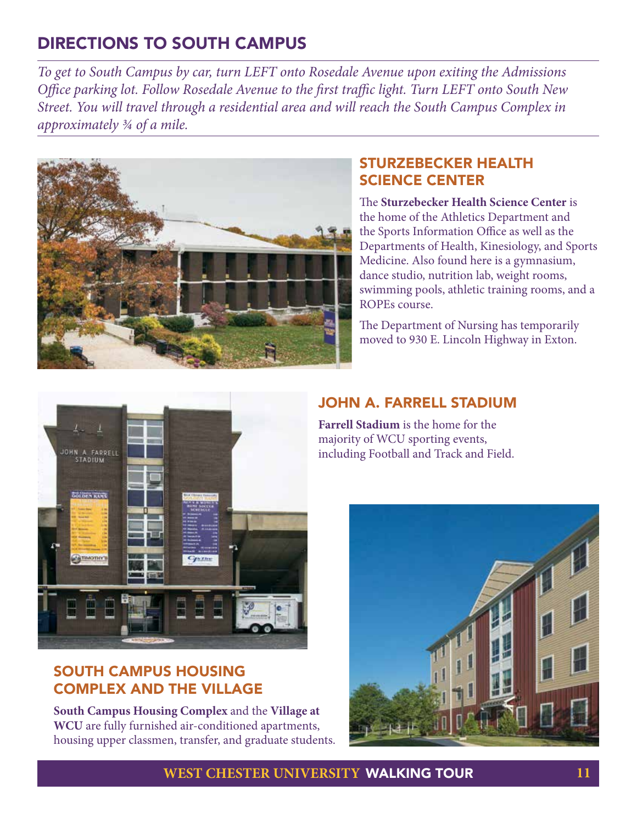# DIRECTIONS TO SOUTH CAMPUS

*To get to South Campus by car, turn LEFT onto Rosedale Avenue upon exiting the Admissions Office parking lot. Follow Rosedale Avenue to the first traffic light. Turn LEFT onto South New Street. You will travel through a residential area and will reach the South Campus Complex in approximately ¾ of a mile.*



## STURZEBECKER HEALTH SCIENCE CENTER

The **Sturzebecker Health Science Center** is the home of the Athletics Department and the Sports Information Office as well as the Departments of Health, Kinesiology, and Sports Medicine. Also found here is a gymnasium, dance studio, nutrition lab, weight rooms, swimming pools, athletic training rooms, and a ROPEs course.

The Department of Nursing has temporarily moved to 930 E. Lincoln Highway in Exton.



## SOUTH CAMPUS HOUSING COMPLEX AND THE VILLAGE

**South Campus Housing Complex** and the **Village at WCU** are fully furnished air-conditioned apartments, housing upper classmen, transfer, and graduate students.

### JOHN A. FARRELL STADIUM

**Farrell Stadium** is the home for the majority of WCU sporting events, including Football and Track and Field.